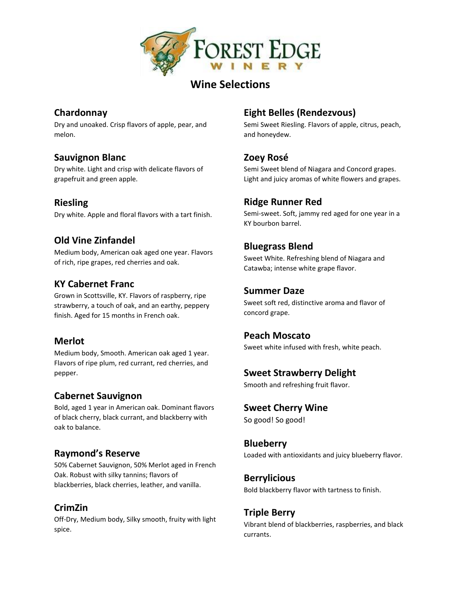

# **Wine Selections**

### **Chardonnay**

Dry and unoaked. Crisp flavors of apple, pear, and melon.

#### **Sauvignon Blanc**

Dry white. Light and crisp with delicate flavors of grapefruit and green apple.

#### **Riesling**

Dry white. Apple and floral flavors with a tart finish.

# **Old Vine Zinfandel**

Medium body, American oak aged one year. Flavors of rich, ripe grapes, red cherries and oak.

#### **KY Cabernet Franc**

Grown in Scottsville, KY. Flavors of raspberry, ripe strawberry, a touch of oak, and an earthy, peppery finish. Aged for 15 months in French oak.

#### **Merlot**

Medium body, Smooth. American oak aged 1 year. Flavors of ripe plum, red currant, red cherries, and pepper.

#### **Cabernet Sauvignon**

Bold, aged 1 year in American oak. Dominant flavors of black cherry, black currant, and blackberry with oak to balance.

# **Raymond's Reserve**

50% Cabernet Sauvignon, 50% Merlot aged in French Oak. Robust with silky tannins; flavors of blackberries, black cherries, leather, and vanilla.

# **CrimZin**

Off-Dry, Medium body, Silky smooth, fruity with light spice.

# **Eight Belles (Rendezvous)**

Semi Sweet Riesling. Flavors of apple, citrus, peach, and honeydew.

# **Zoey Rosé**

Semi Sweet blend of Niagara and Concord grapes. Light and juicy aromas of white flowers and grapes.

# **Ridge Runner Red**

Semi-sweet. Soft, jammy red aged for one year in a KY bourbon barrel.

#### **Bluegrass Blend**

Sweet White. Refreshing blend of Niagara and Catawba; intense white grape flavor.

#### **Summer Daze**

Sweet soft red, distinctive aroma and flavor of concord grape.

#### **Peach Moscato**

Sweet white infused with fresh, white peach.

#### **Sweet Strawberry Delight**

Smooth and refreshing fruit flavor.

#### **Sweet Cherry Wine**

So good! So good!

#### **Blueberry**

Loaded with antioxidants and juicy blueberry flavor.

# **Berrylicious**

Bold blackberry flavor with tartness to finish.

#### **Triple Berry**

Vibrant blend of blackberries, raspberries, and black currants.